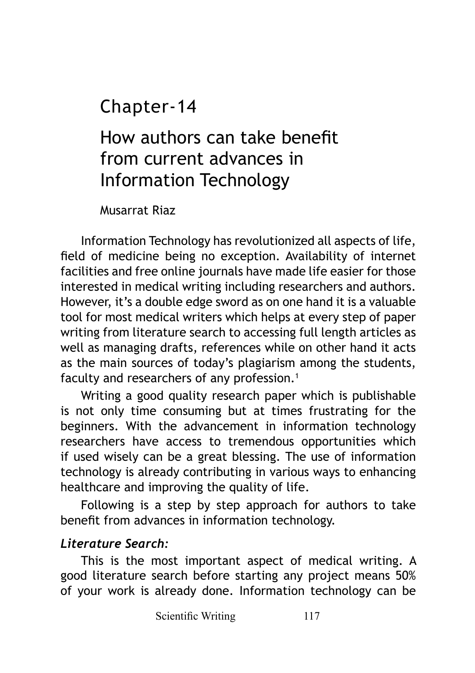Chapter-14

How authors can take benefit from current advances in Information Technology

Musarrat Riaz

Information Technology has revolutionized all aspects of life, field of medicine being no exception. Availability of internet facilities and free online journals have made life easier for those interested in medical writing including researchers and authors. However, it's a double edge sword as on one hand it is a valuable tool for most medical writers which helps at every step of paper writing from literature search to accessing full length articles as well as managing drafts, references while on other hand it acts as the main sources of today's plagiarism among the students, faculty and researchers of any profession.<sup>1</sup>

Writing a good quality research paper which is publishable is not only time consuming but at times frustrating for the beginners. With the advancement in information technology researchers have access to tremendous opportunities which if used wisely can be a great blessing. The use of information technology is already contributing in various ways to enhancing healthcare and improving the quality of life.

Following is a step by step approach for authors to take benefit from advances in information technology.

#### *Literature Search:*

This is the most important aspect of medical writing. A good literature search before starting any project means 50% of your work is already done. Information technology can be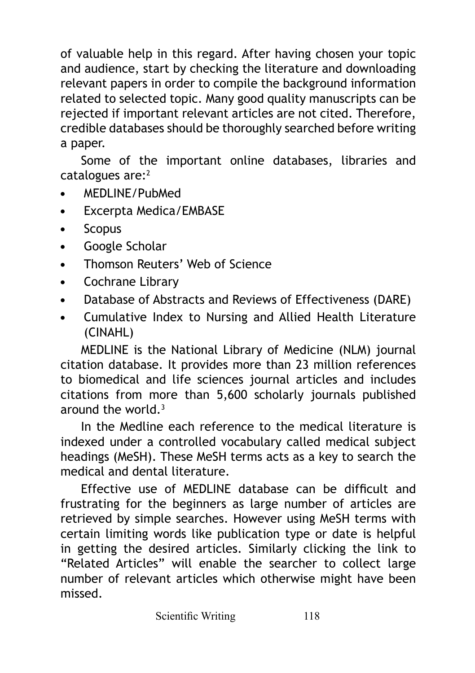of valuable help in this regard. After having chosen your topic and audience, start by checking the literature and downloading relevant papers in order to compile the background information related to selected topic. Many good quality manuscripts can be rejected if important relevant articles are not cited. Therefore, credible databases should be thoroughly searched before writing a paper.

Some of the important online databases, libraries and catalogues are:<sup>2</sup>

- **•** MEDLINE/PubMed
- **•** Excerpta Medica/EMBASE
- **•** Scopus
- **•** Google Scholar
- **•** Thomson Reuters' Web of Science
- **•** Cochrane Library
- **•** Database of Abstracts and Reviews of Effectiveness (DARE)
- **•** Cumulative Index to Nursing and Allied Health Literature (CINAHL)

MEDLINE is the National Library of Medicine (NLM) journal citation database. It provides more than 23 million references to biomedical and life sciences journal articles and includes citations from more than 5,600 scholarly journals published around the world. $3$ 

In the Medline each reference to the medical literature is indexed under a controlled vocabulary called medical subject headings (MeSH). These MeSH terms acts as a key to search the medical and dental literature.

Effective use of MEDLINE database can be difficult and frustrating for the beginners as large number of articles are retrieved by simple searches. However using MeSH terms with certain limiting words like publication type or date is helpful in getting the desired articles. Similarly clicking the link to "Related Articles" will enable the searcher to collect large number of relevant articles which otherwise might have been missed.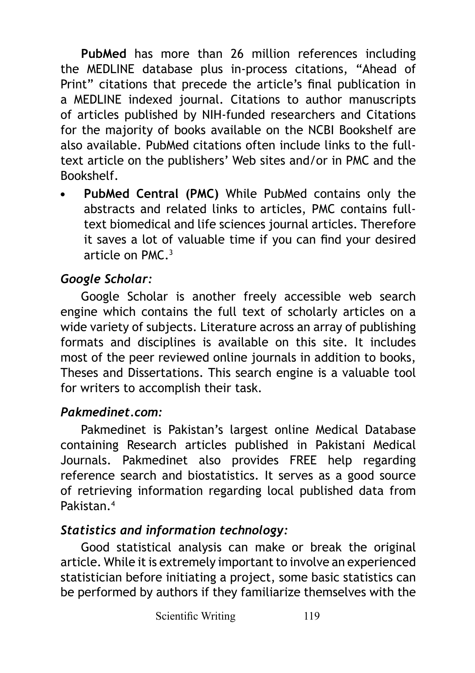**PubMed** has more than 26 million references including the MEDLINE database plus in-process citations, "Ahead of Print" citations that precede the article's final publication in a MEDLINE indexed journal. Citations to author manuscripts of articles published by NIH-funded researchers and Citations for the majority of books available on the NCBI Bookshelf are also available. PubMed citations often include links to the fulltext article on the publishers' Web sites and/or in PMC and the Bookshelf.

**• PubMed Central (PMC)** While PubMed contains only the abstracts and related links to articles, PMC contains fulltext biomedical and life sciences journal articles. Therefore it saves a lot of valuable time if you can find your desired article on PMC.3

## *Google Scholar:*

Google Scholar is another freely accessible web search engine which contains the full text of scholarly articles on a wide variety of subjects. Literature across an array of publishing formats and disciplines is available on this site. It includes most of the peer reviewed online journals in addition to books, Theses and Dissertations. This search engine is a valuable tool for writers to accomplish their task.

### *Pakmedinet.com:*

Pakmedinet is Pakistan's largest online Medical Database containing Research articles published in Pakistani Medical Journals. Pakmedinet also provides FREE help regarding reference search and biostatistics. It serves as a good source of retrieving information regarding local published data from Pakistan.<sup>4</sup>

### *Statistics and information technology:*

Good statistical analysis can make or break the original article. While it is extremely important to involve an experienced statistician before initiating a project, some basic statistics can be performed by authors if they familiarize themselves with the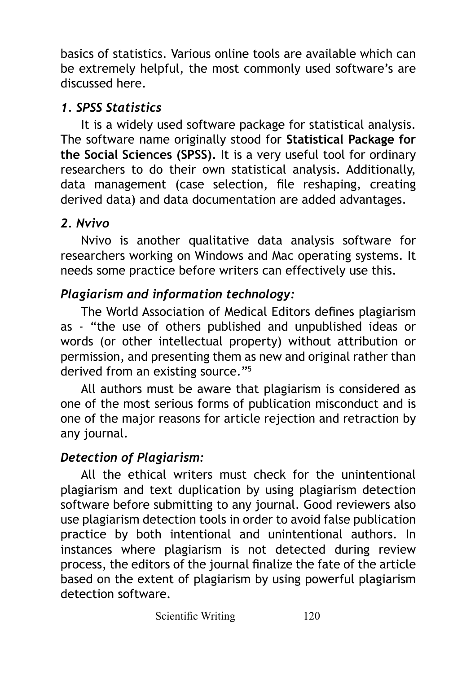basics of statistics. Various online tools are available which can be extremely helpful, the most commonly used software's are discussed here.

## *1. SPSS Statistics*

It is a widely used software package for statistical analysis. The software name originally stood for **Statistical Package for the Social Sciences (SPSS).** It is a very useful tool for ordinary researchers to do their own statistical analysis. Additionally, data management (case selection, file reshaping, creating derived data) and data documentation are added advantages.

# *2. Nvivo*

Nvivo is another qualitative data analysis software for researchers working on Windows and Mac operating systems. It needs some practice before writers can effectively use this.

# *Plagiarism and information technology:*

The World Association of Medical Editors defines plagiarism as - "the use of others published and unpublished ideas or words (or other intellectual property) without attribution or permission, and presenting them as new and original rather than derived from an existing source."<sup>5</sup>

All authors must be aware that plagiarism is considered as one of the most serious forms of publication misconduct and is one of the major reasons for article rejection and retraction by any journal.

# *Detection of Plagiarism:*

All the ethical writers must check for the unintentional plagiarism and text duplication by using plagiarism detection software before submitting to any journal. Good reviewers also use plagiarism detection tools in order to avoid false publication practice by both intentional and unintentional authors. In instances where plagiarism is not detected during review process, the editors of the journal finalize the fate of the article based on the extent of plagiarism by using powerful plagiarism detection software.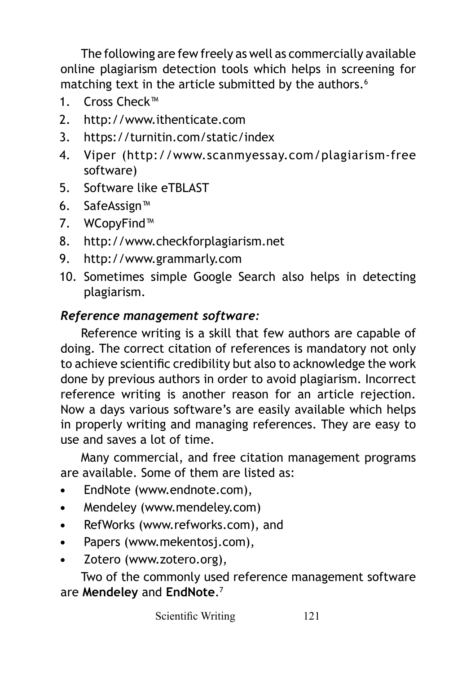The following are few freely as well as commercially available online plagiarism detection tools which helps in screening for matching text in the article submitted by the authors.<sup>6</sup>

- 1 Cross Check™
- 2. http://www.ithenticate.com
- 3. https://turnitin.com/static/index
- 4. Viper (http://www.scanmyessay.com/plagiarism-free software)
- 5. Software like eTBLAST
- 6. SafeAssign™
- 7. WCopyFind™
- 8. http://www.checkforplagiarism.net
- 9. http://www.grammarly.com
- 10. Sometimes simple Google Search also helps in detecting plagiarism.

## *Reference management software:*

Reference writing is a skill that few authors are capable of doing. The correct citation of references is mandatory not only to achieve scientific credibility but also to acknowledge the work done by previous authors in order to avoid plagiarism. Incorrect reference writing is another reason for an article rejection. Now a days various software's are easily available which helps in properly writing and managing references. They are easy to use and saves a lot of time.

Many commercial, and free citation management programs are available. Some of them are listed as:

- **•** EndNote (www.endnote.com),
- **•** Mendeley (www.mendeley.com)
- **•** RefWorks (www.refworks.com), and
- **•** Papers (www.mekentosj.com),
- **•** Zotero (www.zotero.org),

Two of the commonly used reference management software are **Mendeley** and **EndNote**.<sup>7</sup>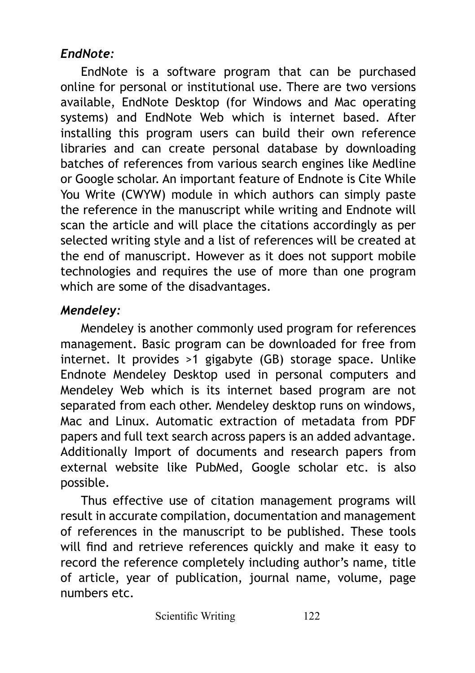## *EndNote:*

EndNote is a software program that can be purchased online for personal or institutional use. There are two versions available, EndNote Desktop (for Windows and Mac operating systems) and EndNote Web which is internet based. After installing this program users can build their own reference libraries and can create personal database by downloading batches of references from various search engines like Medline or Google scholar. An important feature of Endnote is Cite While You Write (CWYW) module in which authors can simply paste the reference in the manuscript while writing and Endnote will scan the article and will place the citations accordingly as per selected writing style and a list of references will be created at the end of manuscript. However as it does not support mobile technologies and requires the use of more than one program which are some of the disadvantages.

### *Mendeley:*

Mendeley is another commonly used program for references management. Basic program can be downloaded for free from internet. It provides >1 gigabyte (GB) storage space. Unlike Endnote Mendeley Desktop used in personal computers and Mendeley Web which is its internet based program are not separated from each other. Mendeley desktop runs on windows, Mac and Linux. Automatic extraction of metadata from PDF papers and full text search across papers is an added advantage. Additionally Import of documents and research papers from external website like PubMed, Google scholar etc. is also possible.

Thus effective use of citation management programs will result in accurate compilation, documentation and management of references in the manuscript to be published. These tools will find and retrieve references quickly and make it easy to record the reference completely including author's name, title of article, year of publication, journal name, volume, page numbers etc.